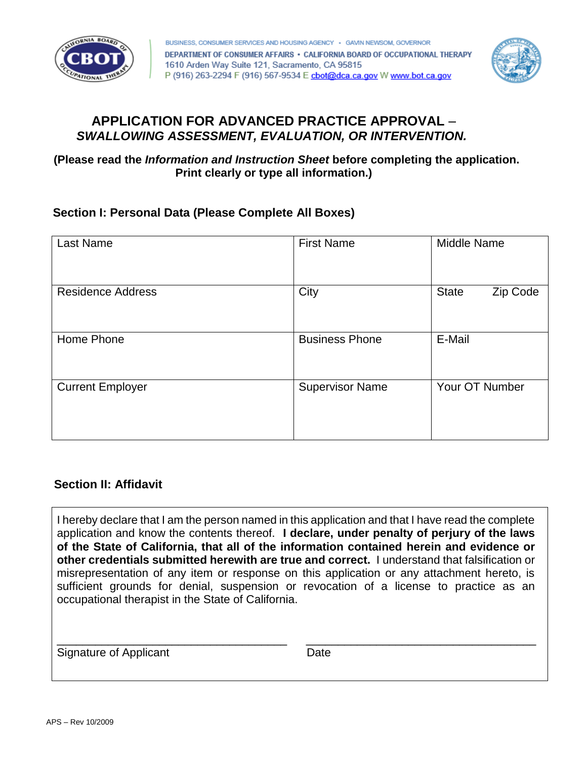



# **APPLICATION FOR ADVANCED PRACTICE APPROVAL** – *SWALLOWING ASSESSMENT, EVALUATION, OR INTERVENTION.*

**(Please read the** *Information and Instruction Sheet* **before completing the application. Print clearly or type all information.)** 

### **Section I: Personal Data (Please Complete All Boxes)**

| <b>Last Name</b>         | <b>First Name</b>      | <b>Middle Name</b>       |
|--------------------------|------------------------|--------------------------|
| <b>Residence Address</b> | City                   | <b>State</b><br>Zip Code |
| Home Phone               | <b>Business Phone</b>  | E-Mail                   |
| <b>Current Employer</b>  | <b>Supervisor Name</b> | Your OT Number           |

### **Section II: Affidavit**

 I hereby declare that I am the person named in this application and that I have read the complete application and know the contents thereof. **I declare, under penalty of perjury of the laws of the State of California, that all of the information contained herein and evidence or other credentials submitted herewith are true and correct.** I understand that falsification or misrepresentation of any item or response on this application or any attachment hereto, is sufficient grounds for denial, suspension or revocation of a license to practice as an occupational therapist in the State of California.

\_\_\_\_\_\_\_\_\_\_\_\_\_\_\_\_\_\_\_\_\_\_\_\_\_\_\_\_\_\_\_\_\_\_\_\_ \_\_\_\_\_\_\_\_\_\_\_\_\_\_\_\_\_\_\_\_\_\_\_\_\_\_\_\_\_\_\_\_\_\_\_\_

Signature of Applicant Date Date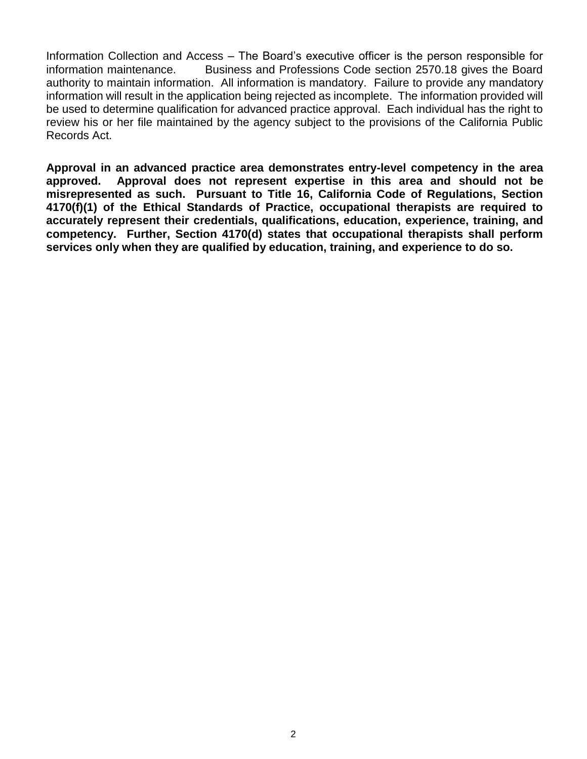Information Collection and Access – The Board's executive officer is the person responsible for authority to maintain information. All information is mandatory. Failure to provide any mandatory information will result in the application being rejected as incomplete. The information provided will be used to determine qualification for advanced practice approval. Each individual has the right to review his or her file maintained by the agency subject to the provisions of the California Public information maintenance. Business and Professions Code section 2570.18 gives the Board Records Act.

 **Approval in an advanced practice area demonstrates entry-level competency in the area approved. Approval does not represent expertise in this area and should not be misrepresented as such. Pursuant to Title 16, California Code of Regulations, Section 4170(f)(1) of the Ethical Standards of Practice, occupational therapists are required to accurately represent their credentials, qualifications, education, experience, training, and competency. Further, Section 4170(d) states that occupational therapists shall perform services only when they are qualified by education, training, and experience to do so.**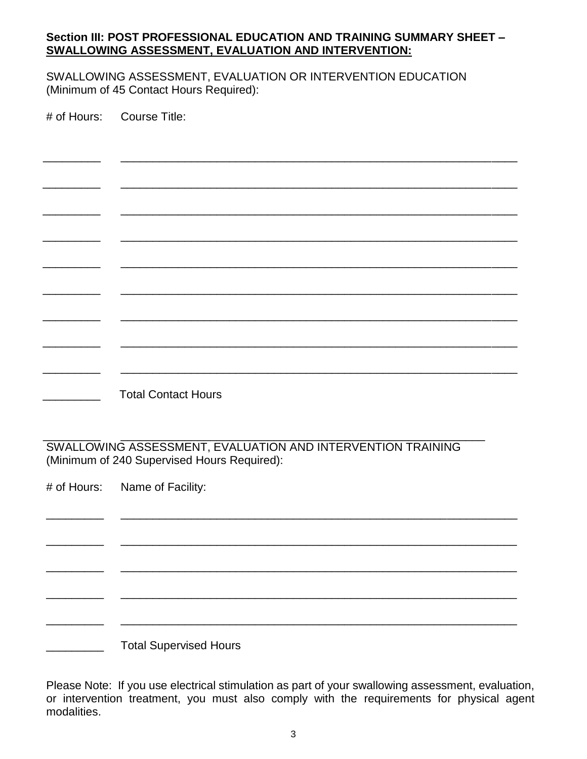### **Section III: POST PROFESSIONAL EDUCATION AND TRAINING SUMMARY SHEET – SWALLOWING ASSESSMENT, EVALUATION AND INTERVENTION:**

 (Minimum of 45 Contact Hours Required): SWALLOWING ASSESSMENT, EVALUATION OR INTERVENTION EDUCATION

# of Hours: Course Title: \_\_\_\_\_\_\_\_\_ \_\_\_\_\_\_\_\_\_\_\_\_\_\_\_\_\_\_\_\_\_\_\_\_\_\_\_\_\_\_\_\_\_\_\_\_\_\_\_\_\_\_\_\_\_\_\_\_\_\_\_\_\_\_\_\_\_\_\_\_\_\_ \_\_\_\_\_\_\_\_\_ \_\_\_\_\_\_\_\_\_\_\_\_\_\_\_\_\_\_\_\_\_\_\_\_\_\_\_\_\_\_\_\_\_\_\_\_\_\_\_\_\_\_\_\_\_\_\_\_\_\_\_\_\_\_\_\_\_\_\_\_\_\_ \_\_\_\_\_\_\_\_\_ \_\_\_\_\_\_\_\_\_\_\_\_\_\_\_\_\_\_\_\_\_\_\_\_\_\_\_\_\_\_\_\_\_\_\_\_\_\_\_\_\_\_\_\_\_\_\_\_\_\_\_\_\_\_\_\_\_\_\_\_\_\_ \_\_\_\_\_\_\_\_\_ \_\_\_\_\_\_\_\_\_\_\_\_\_\_\_\_\_\_\_\_\_\_\_\_\_\_\_\_\_\_\_\_\_\_\_\_\_\_\_\_\_\_\_\_\_\_\_\_\_\_\_\_\_\_\_\_\_\_\_\_\_\_ \_\_\_\_\_\_\_\_\_ \_\_\_\_\_\_\_\_\_\_\_\_\_\_\_\_\_\_\_\_\_\_\_\_\_\_\_\_\_\_\_\_\_\_\_\_\_\_\_\_\_\_\_\_\_\_\_\_\_\_\_\_\_\_\_\_\_\_\_\_\_\_ \_\_\_\_\_\_\_\_\_ \_\_\_\_\_\_\_\_\_\_\_\_\_\_\_\_\_\_\_\_\_\_\_\_\_\_\_\_\_\_\_\_\_\_\_\_\_\_\_\_\_\_\_\_\_\_\_\_\_\_\_\_\_\_\_\_\_\_\_\_\_\_ \_\_\_\_\_\_\_\_\_ \_\_\_\_\_\_\_\_\_\_\_\_\_\_\_\_\_\_\_\_\_\_\_\_\_\_\_\_\_\_\_\_\_\_\_\_\_\_\_\_\_\_\_\_\_\_\_\_\_\_\_\_\_\_\_\_\_\_\_\_\_\_ \_\_\_\_\_\_\_\_\_ \_\_\_\_\_\_\_\_\_\_\_\_\_\_\_\_\_\_\_\_\_\_\_\_\_\_\_\_\_\_\_\_\_\_\_\_\_\_\_\_\_\_\_\_\_\_\_\_\_\_\_\_\_\_\_\_\_\_\_\_\_\_ \_\_\_\_\_\_\_\_\_ \_\_\_\_\_\_\_\_\_\_\_\_\_\_\_\_\_\_\_\_\_\_\_\_\_\_\_\_\_\_\_\_\_\_\_\_\_\_\_\_\_\_\_\_\_\_\_\_\_\_\_\_\_\_\_\_\_\_\_\_\_\_ \_\_\_\_\_\_\_\_\_ Total Contact Hours

 (Minimum of 240 Supervised Hours Required): \_\_\_\_\_\_\_\_\_ \_\_\_\_\_\_\_\_\_\_\_\_\_\_\_\_\_\_\_\_\_\_\_\_\_\_\_\_\_\_\_\_\_\_\_\_\_\_\_\_\_\_\_\_\_\_\_\_\_\_\_\_\_\_\_\_\_ SWALLOWING ASSESSMENT, EVALUATION AND INTERVENTION TRAINING

# of Hours: Name of Facility:

\_\_\_\_\_\_\_\_\_ \_\_\_\_\_\_\_\_\_\_\_\_\_\_\_\_\_\_\_\_\_\_\_\_\_\_\_\_\_\_\_\_\_\_\_\_\_\_\_\_\_\_\_\_\_\_\_\_\_\_\_\_\_\_\_\_\_\_\_\_\_\_ \_\_\_\_\_\_\_\_\_ \_\_\_\_\_\_\_\_\_\_\_\_\_\_\_\_\_\_\_\_\_\_\_\_\_\_\_\_\_\_\_\_\_\_\_\_\_\_\_\_\_\_\_\_\_\_\_\_\_\_\_\_\_\_\_\_\_\_\_\_\_\_ \_\_\_\_\_\_\_\_\_ \_\_\_\_\_\_\_\_\_\_\_\_\_\_\_\_\_\_\_\_\_\_\_\_\_\_\_\_\_\_\_\_\_\_\_\_\_\_\_\_\_\_\_\_\_\_\_\_\_\_\_\_\_\_\_\_\_\_\_\_\_\_ \_\_\_\_\_\_\_\_\_ \_\_\_\_\_\_\_\_\_\_\_\_\_\_\_\_\_\_\_\_\_\_\_\_\_\_\_\_\_\_\_\_\_\_\_\_\_\_\_\_\_\_\_\_\_\_\_\_\_\_\_\_\_\_\_\_\_\_\_\_\_\_ **EXECUTE:** Total Supervised Hours

\_\_\_\_\_\_\_\_\_ \_\_\_\_\_\_\_\_\_\_\_\_\_\_\_\_\_\_\_\_\_\_\_\_\_\_\_\_\_\_\_\_\_\_\_\_\_\_\_\_\_\_\_\_\_\_\_\_\_\_\_\_\_\_\_\_\_\_\_\_\_\_

 Please Note: If you use electrical stimulation as part of your swallowing assessment, evaluation, or intervention treatment, you must also comply with the requirements for physical agent modalities.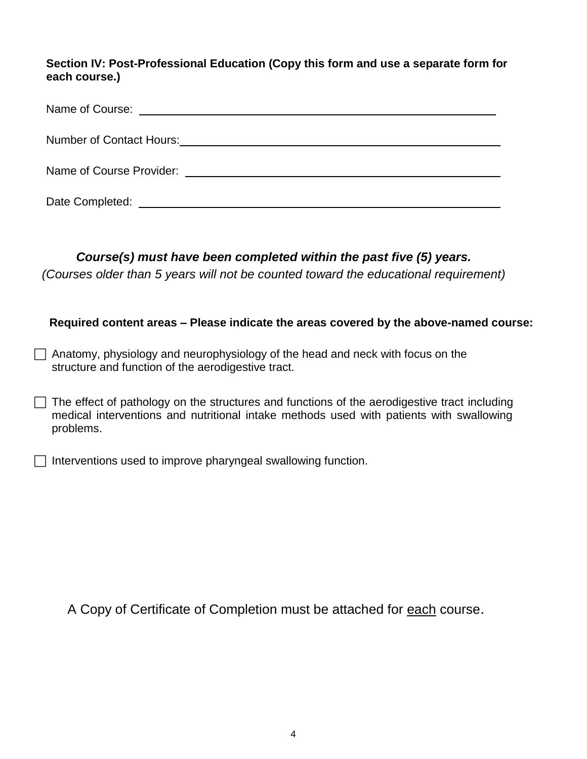**Section IV: Post-Professional Education (Copy this form and use a separate form for each course.)** 

| Number of Contact Hours: Number of Contact Hours: |
|---------------------------------------------------|
| Name of Course Provider: Name of Course Provider: |
| Date Completed:                                   |

## *Course(s) must have been completed within the past five (5) years.*

*(Courses older than 5 years will not be counted toward the educational requirement)* 

### **Required content areas – Please indicate the areas covered by the above-named course:**

- $\Box$  Anatomy, physiology and neurophysiology of the head and neck with focus on the structure and function of the aerodigestive tract.
- $\Box$  The effect of pathology on the structures and functions of the aerodigestive tract including medical interventions and nutritional intake methods used with patients with swallowing problems.
- $\Box$  Interventions used to improve pharyngeal swallowing function.

A Copy of Certificate of Completion must be attached for each course.